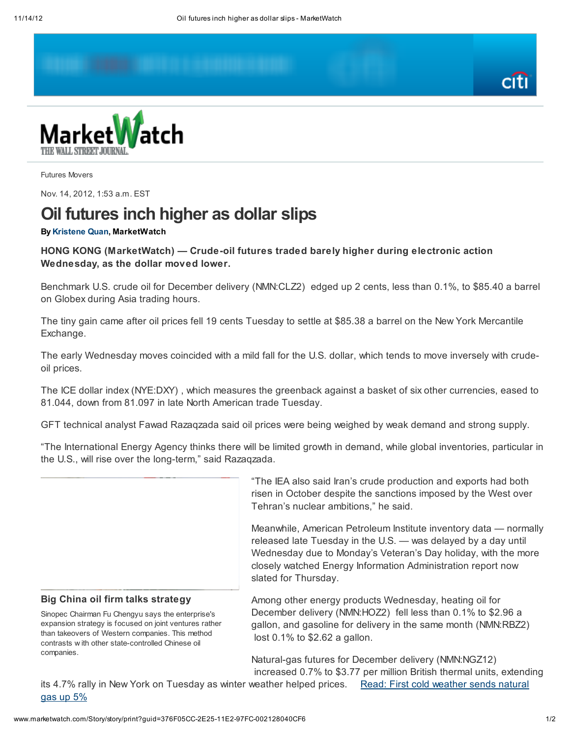



Futures Movers

Nov. 14, 2012, 1:53 a.m. EST

## Oil futures inch higher as dollar slips

## By [Kristene](mailto:kquan@marketwatch.com) Quan, MarketWatch

HONG KONG (MarketWatch) — Crude-oil futures traded barely higher during electronic action Wednesday, as the dollar moved lower.

Benchmark U.S. crude oil for December delivery (NMN:CLZ2) edged up 2 cents, less than 0.1%, to \$85.40 a barrel on Globex during Asia trading hours.

The tiny gain came after oil prices fell 19 cents Tuesday to settle at \$85.38 a barrel on the New York Mercantile Exchange.

The early Wednesday moves coincided with a mild fall for the U.S. dollar, which tends to move inversely with crudeoil prices.

The ICE dollar index (NYE:DXY) , which measures the greenback against a basket of six other currencies, eased to 81.044, down from 81.097 in late North American trade Tuesday.

GFT technical analyst Fawad Razaqzada said oil prices were being weighed by weak demand and strong supply.

"The International Energy Agency thinks there will be limited growth in demand, while global inventories, particular in the U.S., will rise over the long-term," said Razaqzada.

> "The IEA also said Iran's crude production and exports had both risen in October despite the sanctions imposed by the West over Tehran's nuclear ambitions," he said.

Meanwhile, American Petroleum Institute inventory data — normally released late Tuesday in the U.S. — was delayed by a day until Wednesday due to Monday's Veteran's Day holiday, with the more closely watched Energy Information Administration report now slated for Thursday.

## Big China oil firm talks strategy

Sinopec Chairman Fu Chengyu says the enterprise's expansion strategy is focused on joint ventures rather than takeovers of Western companies. This method contrasts w ith other state-controlled Chinese oil companies.

Among other energy products Wednesday, heating oil for December delivery (NMN:HOZ2) fell less than 0.1% to \$2.96 a gallon, and gasoline for delivery in the same month (NMN:RBZ2) lost 0.1% to \$2.62 a gallon.

Natural-gas futures for December delivery (NMN:NGZ12) increased 0.7% to \$3.77 per million British thermal units, extending

its 4.7% rally in New York on [Tuesday](http://www.marketwatch.com/story/oil-futures-slip-further-as-dollar-gains-2012-11-13) as winter weather helped prices. Read: First cold weather sends natural gas up 5%